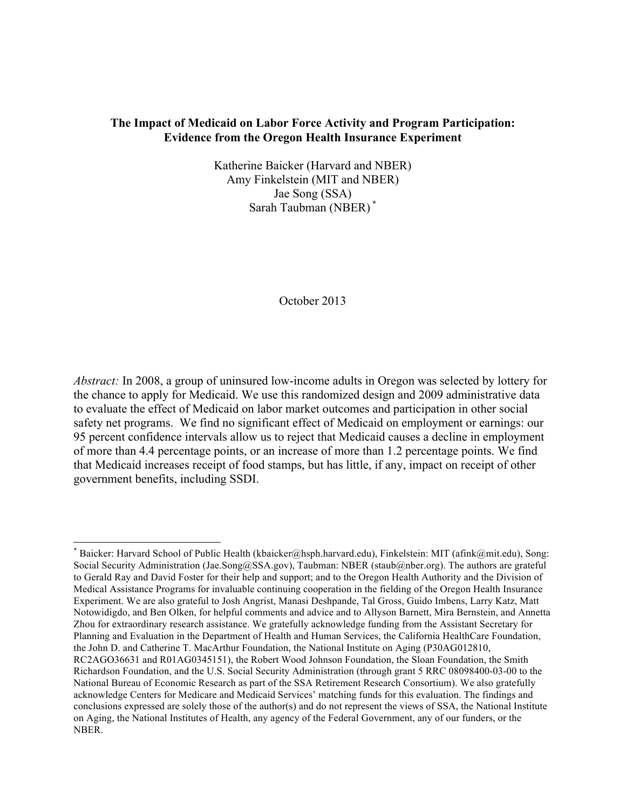## **The Impact of Medicaid on Labor Force Activity and Program Participation: Evidence from the Oregon Health Insurance Experiment**

Katherine Baicker (Harvard and NBER) Amy Finkelstein (MIT and NBER) Jae Song (SSA) Sarah Taubman (NBER) **\***

October 2013

*Abstract:* In 2008, a group of uninsured low-income adults in Oregon was selected by lottery for the chance to apply for Medicaid. We use this randomized design and 2009 administrative data to evaluate the effect of Medicaid on labor market outcomes and participation in other social safety net programs. We find no significant effect of Medicaid on employment or earnings: our 95 percent confidence intervals allow us to reject that Medicaid causes a decline in employment of more than 4.4 percentage points, or an increase of more than 1.2 percentage points. We find that Medicaid increases receipt of food stamps, but has little, if any, impact on receipt of other government benefits, including SSDI.

<sup>\*</sup> Baicker: Harvard School of Public Health (kbaicker@hsph.harvard.edu), Finkelstein: MIT (afink@mit.edu), Song: Social Security Administration (Jae.Song@SSA.gov), Taubman: NBER (staub@nber.org). The authors are grateful to Gerald Ray and David Foster for their help and support; and to the Oregon Health Authority and the Division of Medical Assistance Programs for invaluable continuing cooperation in the fielding of the Oregon Health Insurance Experiment. We are also grateful to Josh Angrist, Manasi Deshpande, Tal Gross, Guido Imbens, Larry Katz, Matt Notowidigdo, and Ben Olken, for helpful comments and advice and to Allyson Barnett, Mira Bernstein, and Annetta Zhou for extraordinary research assistance. We gratefully acknowledge funding from the Assistant Secretary for Planning and Evaluation in the Department of Health and Human Services, the California HealthCare Foundation, the John D. and Catherine T. MacArthur Foundation, the National Institute on Aging (P30AG012810, RC2AGO36631 and R01AG0345151), the Robert Wood Johnson Foundation, the Sloan Foundation, the Smith Richardson Foundation, and the U.S. Social Security Administration (through grant 5 RRC 08098400-03-00 to the National Bureau of Economic Research as part of the SSA Retirement Research Consortium). We also gratefully acknowledge Centers for Medicare and Medicaid Services' matching funds for this evaluation. The findings and conclusions expressed are solely those of the author(s) and do not represent the views of SSA, the National Institute on Aging, the National Institutes of Health, any agency of the Federal Government, any of our funders, or the NBER.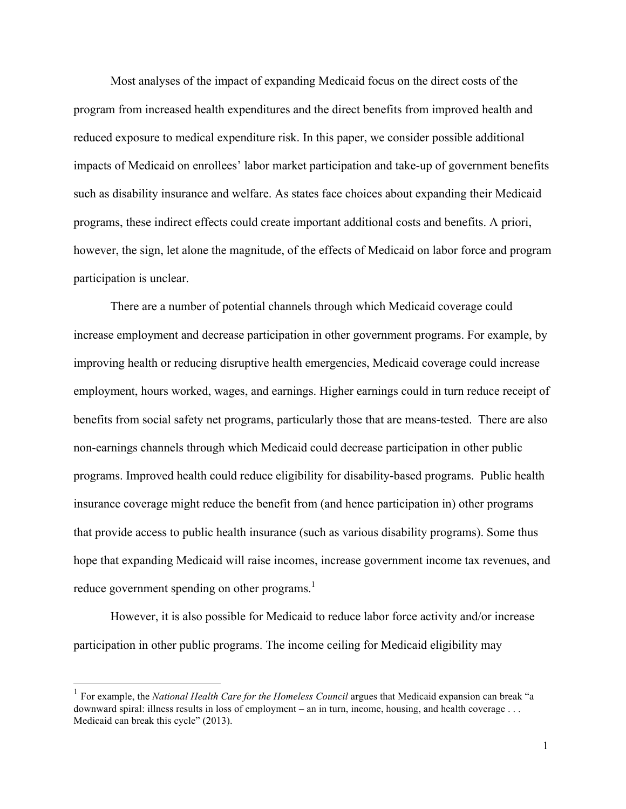Most analyses of the impact of expanding Medicaid focus on the direct costs of the program from increased health expenditures and the direct benefits from improved health and reduced exposure to medical expenditure risk. In this paper, we consider possible additional impacts of Medicaid on enrollees' labor market participation and take-up of government benefits such as disability insurance and welfare. As states face choices about expanding their Medicaid programs, these indirect effects could create important additional costs and benefits. A priori, however, the sign, let alone the magnitude, of the effects of Medicaid on labor force and program participation is unclear.

There are a number of potential channels through which Medicaid coverage could increase employment and decrease participation in other government programs. For example, by improving health or reducing disruptive health emergencies, Medicaid coverage could increase employment, hours worked, wages, and earnings. Higher earnings could in turn reduce receipt of benefits from social safety net programs, particularly those that are means-tested. There are also non-earnings channels through which Medicaid could decrease participation in other public programs. Improved health could reduce eligibility for disability-based programs. Public health insurance coverage might reduce the benefit from (and hence participation in) other programs that provide access to public health insurance (such as various disability programs). Some thus hope that expanding Medicaid will raise incomes, increase government income tax revenues, and reduce government spending on other programs.<sup>1</sup>

However, it is also possible for Medicaid to reduce labor force activity and/or increase participation in other public programs. The income ceiling for Medicaid eligibility may

<sup>&</sup>lt;sup>1</sup> For example, the *National Health Care for the Homeless Council* argues that Medicaid expansion can break "a downward spiral: illness results in loss of employment – an in turn, income, housing, and health coverage . . . Medicaid can break this cycle" (2013).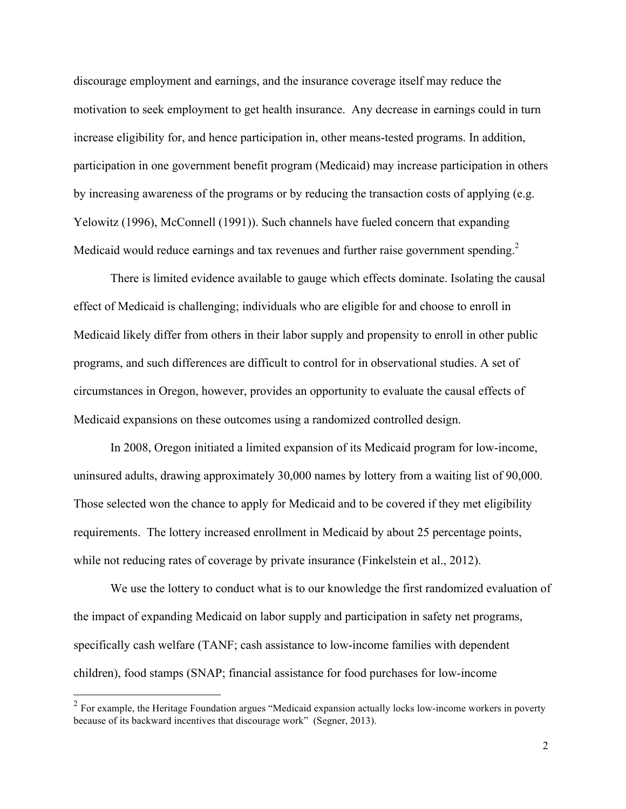discourage employment and earnings, and the insurance coverage itself may reduce the motivation to seek employment to get health insurance. Any decrease in earnings could in turn increase eligibility for, and hence participation in, other means-tested programs. In addition, participation in one government benefit program (Medicaid) may increase participation in others by increasing awareness of the programs or by reducing the transaction costs of applying (e.g. Yelowitz (1996), McConnell (1991)). Such channels have fueled concern that expanding Medicaid would reduce earnings and tax revenues and further raise government spending.<sup>2</sup>

There is limited evidence available to gauge which effects dominate. Isolating the causal effect of Medicaid is challenging; individuals who are eligible for and choose to enroll in Medicaid likely differ from others in their labor supply and propensity to enroll in other public programs, and such differences are difficult to control for in observational studies. A set of circumstances in Oregon, however, provides an opportunity to evaluate the causal effects of Medicaid expansions on these outcomes using a randomized controlled design.

In 2008, Oregon initiated a limited expansion of its Medicaid program for low-income, uninsured adults, drawing approximately 30,000 names by lottery from a waiting list of 90,000. Those selected won the chance to apply for Medicaid and to be covered if they met eligibility requirements. The lottery increased enrollment in Medicaid by about 25 percentage points, while not reducing rates of coverage by private insurance (Finkelstein et al., 2012).

We use the lottery to conduct what is to our knowledge the first randomized evaluation of the impact of expanding Medicaid on labor supply and participation in safety net programs, specifically cash welfare (TANF; cash assistance to low-income families with dependent children), food stamps (SNAP; financial assistance for food purchases for low-income

<sup>&</sup>lt;sup>2</sup> For example, the Heritage Foundation argues "Medicaid expansion actually locks low-income workers in poverty because of its backward incentives that discourage work" (Segner, 2013).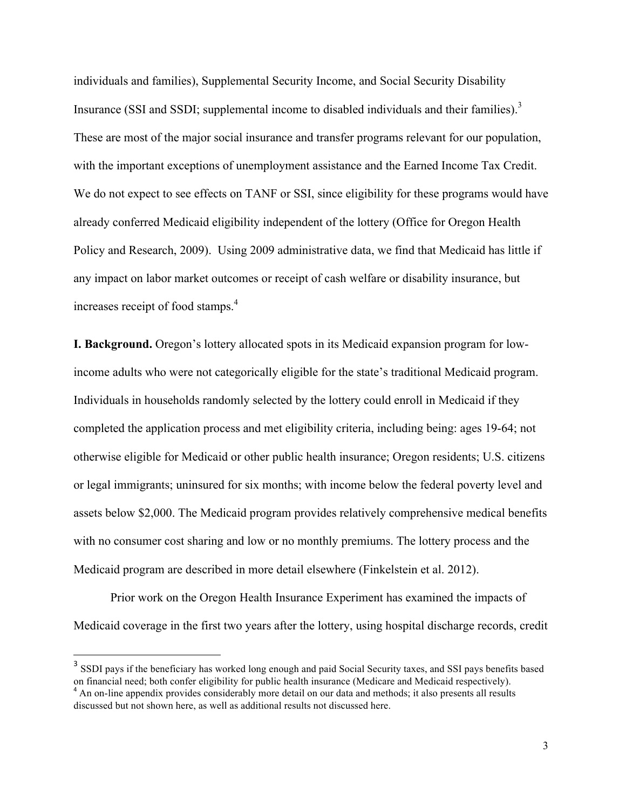individuals and families), Supplemental Security Income, and Social Security Disability Insurance (SSI and SSDI; supplemental income to disabled individuals and their families).<sup>3</sup> These are most of the major social insurance and transfer programs relevant for our population, with the important exceptions of unemployment assistance and the Earned Income Tax Credit. We do not expect to see effects on TANF or SSI, since eligibility for these programs would have already conferred Medicaid eligibility independent of the lottery (Office for Oregon Health Policy and Research, 2009). Using 2009 administrative data, we find that Medicaid has little if any impact on labor market outcomes or receipt of cash welfare or disability insurance, but increases receipt of food stamps. 4

**I. Background.** Oregon's lottery allocated spots in its Medicaid expansion program for lowincome adults who were not categorically eligible for the state's traditional Medicaid program. Individuals in households randomly selected by the lottery could enroll in Medicaid if they completed the application process and met eligibility criteria, including being: ages 19-64; not otherwise eligible for Medicaid or other public health insurance; Oregon residents; U.S. citizens or legal immigrants; uninsured for six months; with income below the federal poverty level and assets below \$2,000. The Medicaid program provides relatively comprehensive medical benefits with no consumer cost sharing and low or no monthly premiums. The lottery process and the Medicaid program are described in more detail elsewhere (Finkelstein et al. 2012).

Prior work on the Oregon Health Insurance Experiment has examined the impacts of Medicaid coverage in the first two years after the lottery, using hospital discharge records, credit

<sup>&</sup>lt;sup>3</sup> SSDI pays if the beneficiary has worked long enough and paid Social Security taxes, and SSI pays benefits based on financial need; both confer eligibility for public health insurance (Medicare and Medicaid respectively). <sup>4</sup> An on-line appendix provides considerably more detail on our data and methods; it also presents all results discussed but not shown here, as well as additional results not discussed here.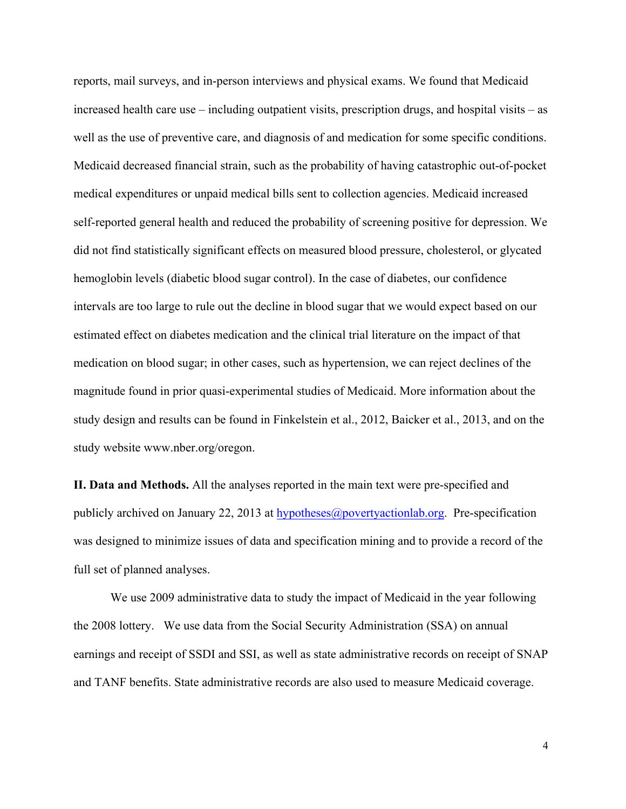reports, mail surveys, and in-person interviews and physical exams. We found that Medicaid increased health care use – including outpatient visits, prescription drugs, and hospital visits – as well as the use of preventive care, and diagnosis of and medication for some specific conditions. Medicaid decreased financial strain, such as the probability of having catastrophic out-of-pocket medical expenditures or unpaid medical bills sent to collection agencies. Medicaid increased self-reported general health and reduced the probability of screening positive for depression. We did not find statistically significant effects on measured blood pressure, cholesterol, or glycated hemoglobin levels (diabetic blood sugar control). In the case of diabetes, our confidence intervals are too large to rule out the decline in blood sugar that we would expect based on our estimated effect on diabetes medication and the clinical trial literature on the impact of that medication on blood sugar; in other cases, such as hypertension, we can reject declines of the magnitude found in prior quasi-experimental studies of Medicaid. More information about the study design and results can be found in Finkelstein et al., 2012, Baicker et al., 2013, and on the study website www.nber.org/oregon.

**II. Data and Methods.** All the analyses reported in the main text were pre-specified and publicly archived on January 22, 2013 at hypotheses@povertyactionlab.org. Pre-specification was designed to minimize issues of data and specification mining and to provide a record of the full set of planned analyses.

We use 2009 administrative data to study the impact of Medicaid in the year following the 2008 lottery. We use data from the Social Security Administration (SSA) on annual earnings and receipt of SSDI and SSI, as well as state administrative records on receipt of SNAP and TANF benefits. State administrative records are also used to measure Medicaid coverage.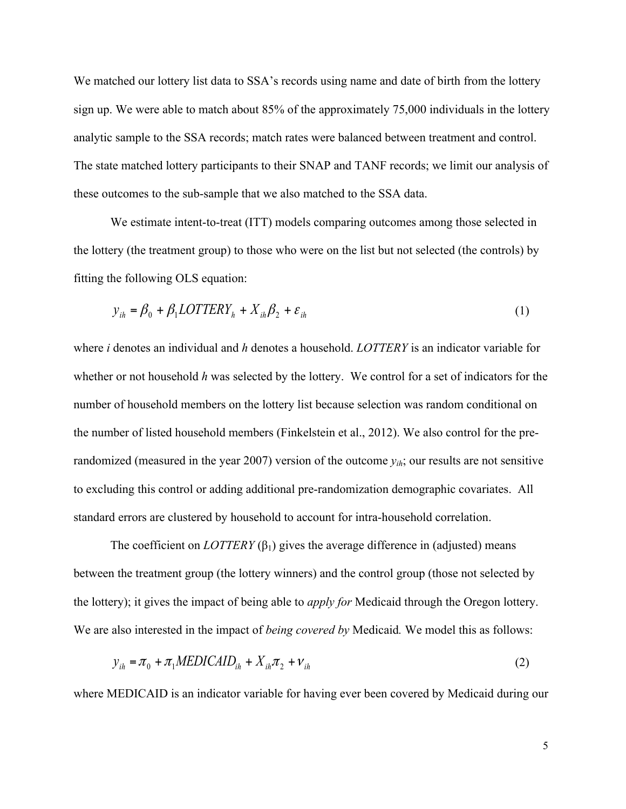We matched our lottery list data to SSA's records using name and date of birth from the lottery sign up. We were able to match about 85% of the approximately 75,000 individuals in the lottery analytic sample to the SSA records; match rates were balanced between treatment and control. The state matched lottery participants to their SNAP and TANF records; we limit our analysis of these outcomes to the sub-sample that we also matched to the SSA data.

We estimate intent-to-treat (ITT) models comparing outcomes among those selected in the lottery (the treatment group) to those who were on the list but not selected (the controls) by fitting the following OLS equation:

$$
y_{ih} = \beta_0 + \beta_1 LOTTERY_h + X_{ih}\beta_2 + \varepsilon_{ih}
$$
\n<sup>(1)</sup>

where *i* denotes an individual and *h* denotes a household. *LOTTERY* is an indicator variable for whether or not household *h* was selected by the lottery. We control for a set of indicators for the number of household members on the lottery list because selection was random conditional on the number of listed household members (Finkelstein et al., 2012). We also control for the prerandomized (measured in the year 2007) version of the outcome  $y_{ih}$ ; our results are not sensitive to excluding this control or adding additional pre-randomization demographic covariates. All standard errors are clustered by household to account for intra-household correlation.

The coefficient on  $LOTTERY(\beta_1)$  gives the average difference in (adjusted) means between the treatment group (the lottery winners) and the control group (those not selected by the lottery); it gives the impact of being able to *apply for* Medicaid through the Oregon lottery. We are also interested in the impact of *being covered by* Medicaid*.* We model this as follows:

$$
y_{ih} = \pi_0 + \pi_1 \text{MEDICAID}_{ih} + X_{ih}\pi_2 + \nu_{ih}
$$
\n<sup>(2)</sup>

where MEDICAID is an indicator variable for having ever been covered by Medicaid during our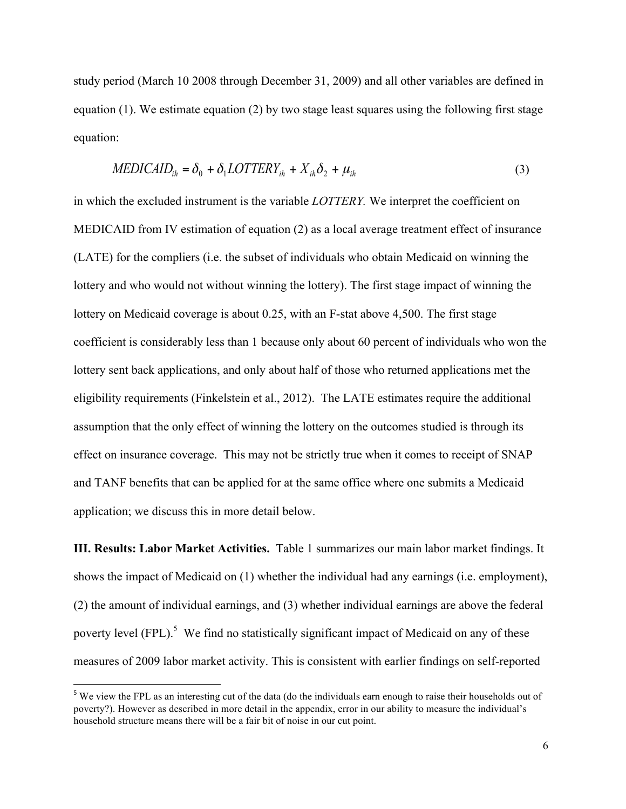study period (March 10 2008 through December 31, 2009) and all other variables are defined in equation (1). We estimate equation (2) by two stage least squares using the following first stage equation:

$$
MEDICAID_{ih} = \delta_0 + \delta_1 LOITERY_{ih} + X_{ih}\delta_2 + \mu_{ih}
$$
\n(3)

in which the excluded instrument is the variable *LOTTERY.* We interpret the coefficient on MEDICAID from IV estimation of equation (2) as a local average treatment effect of insurance (LATE) for the compliers (i.e. the subset of individuals who obtain Medicaid on winning the lottery and who would not without winning the lottery). The first stage impact of winning the lottery on Medicaid coverage is about 0.25, with an F-stat above 4,500. The first stage coefficient is considerably less than 1 because only about 60 percent of individuals who won the lottery sent back applications, and only about half of those who returned applications met the eligibility requirements (Finkelstein et al., 2012). The LATE estimates require the additional assumption that the only effect of winning the lottery on the outcomes studied is through its effect on insurance coverage. This may not be strictly true when it comes to receipt of SNAP and TANF benefits that can be applied for at the same office where one submits a Medicaid application; we discuss this in more detail below.

**III. Results: Labor Market Activities.** Table 1 summarizes our main labor market findings. It shows the impact of Medicaid on (1) whether the individual had any earnings (i.e. employment), (2) the amount of individual earnings, and (3) whether individual earnings are above the federal poverty level  $(FPL)$ <sup>5</sup>. We find no statistically significant impact of Medicaid on any of these measures of 2009 labor market activity. This is consistent with earlier findings on self-reported

<sup>&</sup>lt;sup>5</sup> We view the FPL as an interesting cut of the data (do the individuals earn enough to raise their households out of poverty?). However as described in more detail in the appendix, error in our ability to measure the individual's household structure means there will be a fair bit of noise in our cut point.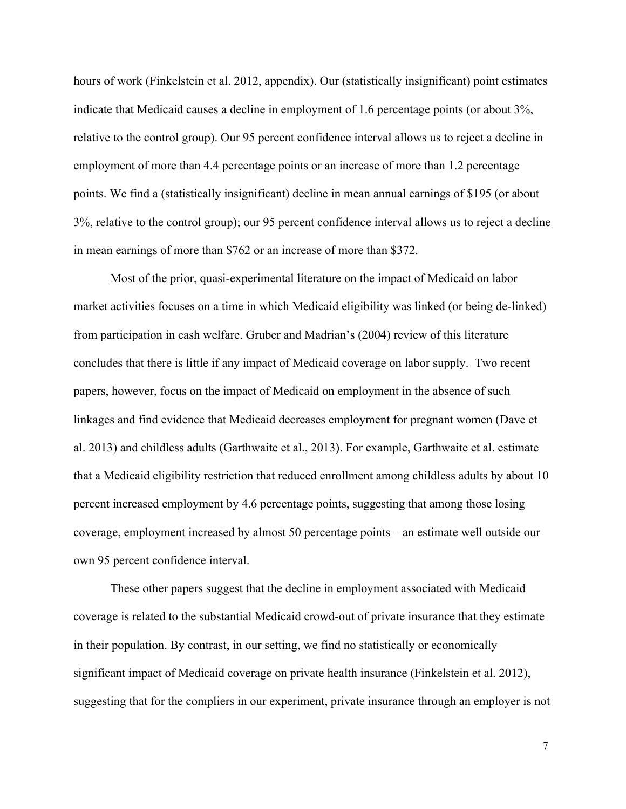hours of work (Finkelstein et al. 2012, appendix). Our (statistically insignificant) point estimates indicate that Medicaid causes a decline in employment of 1.6 percentage points (or about 3%, relative to the control group). Our 95 percent confidence interval allows us to reject a decline in employment of more than 4.4 percentage points or an increase of more than 1.2 percentage points. We find a (statistically insignificant) decline in mean annual earnings of \$195 (or about 3%, relative to the control group); our 95 percent confidence interval allows us to reject a decline in mean earnings of more than \$762 or an increase of more than \$372.

Most of the prior, quasi-experimental literature on the impact of Medicaid on labor market activities focuses on a time in which Medicaid eligibility was linked (or being de-linked) from participation in cash welfare. Gruber and Madrian's (2004) review of this literature concludes that there is little if any impact of Medicaid coverage on labor supply. Two recent papers, however, focus on the impact of Medicaid on employment in the absence of such linkages and find evidence that Medicaid decreases employment for pregnant women (Dave et al. 2013) and childless adults (Garthwaite et al., 2013). For example, Garthwaite et al. estimate that a Medicaid eligibility restriction that reduced enrollment among childless adults by about 10 percent increased employment by 4.6 percentage points, suggesting that among those losing coverage, employment increased by almost 50 percentage points – an estimate well outside our own 95 percent confidence interval.

These other papers suggest that the decline in employment associated with Medicaid coverage is related to the substantial Medicaid crowd-out of private insurance that they estimate in their population. By contrast, in our setting, we find no statistically or economically significant impact of Medicaid coverage on private health insurance (Finkelstein et al. 2012), suggesting that for the compliers in our experiment, private insurance through an employer is not

7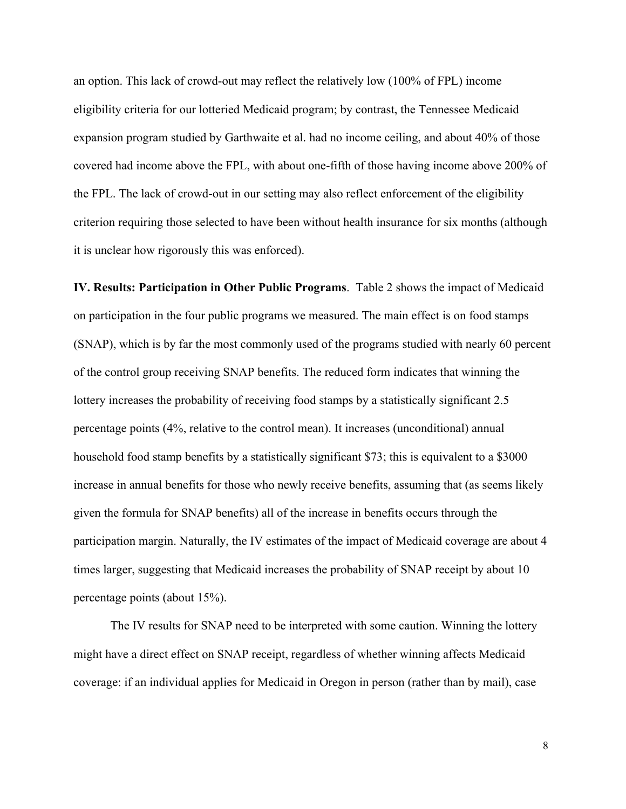an option. This lack of crowd-out may reflect the relatively low (100% of FPL) income eligibility criteria for our lotteried Medicaid program; by contrast, the Tennessee Medicaid expansion program studied by Garthwaite et al. had no income ceiling, and about 40% of those covered had income above the FPL, with about one-fifth of those having income above 200% of the FPL. The lack of crowd-out in our setting may also reflect enforcement of the eligibility criterion requiring those selected to have been without health insurance for six months (although it is unclear how rigorously this was enforced).

**IV. Results: Participation in Other Public Programs**. Table 2 shows the impact of Medicaid on participation in the four public programs we measured. The main effect is on food stamps (SNAP), which is by far the most commonly used of the programs studied with nearly 60 percent of the control group receiving SNAP benefits. The reduced form indicates that winning the lottery increases the probability of receiving food stamps by a statistically significant 2.5 percentage points (4%, relative to the control mean). It increases (unconditional) annual household food stamp benefits by a statistically significant \$73; this is equivalent to a \$3000 increase in annual benefits for those who newly receive benefits, assuming that (as seems likely given the formula for SNAP benefits) all of the increase in benefits occurs through the participation margin. Naturally, the IV estimates of the impact of Medicaid coverage are about 4 times larger, suggesting that Medicaid increases the probability of SNAP receipt by about 10 percentage points (about 15%).

The IV results for SNAP need to be interpreted with some caution. Winning the lottery might have a direct effect on SNAP receipt, regardless of whether winning affects Medicaid coverage: if an individual applies for Medicaid in Oregon in person (rather than by mail), case

8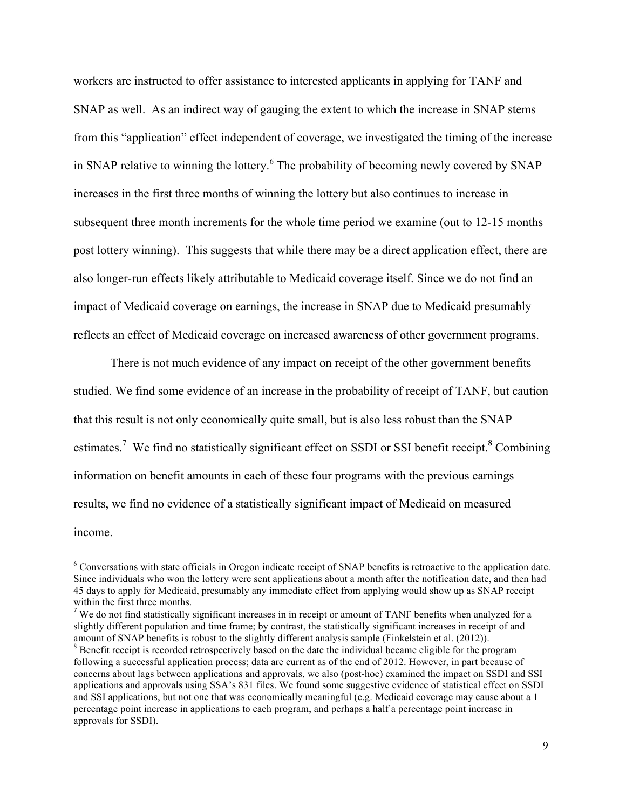workers are instructed to offer assistance to interested applicants in applying for TANF and SNAP as well. As an indirect way of gauging the extent to which the increase in SNAP stems from this "application" effect independent of coverage, we investigated the timing of the increase in SNAP relative to winning the lottery.<sup>6</sup> The probability of becoming newly covered by SNAP increases in the first three months of winning the lottery but also continues to increase in subsequent three month increments for the whole time period we examine (out to 12-15 months post lottery winning). This suggests that while there may be a direct application effect, there are also longer-run effects likely attributable to Medicaid coverage itself. Since we do not find an impact of Medicaid coverage on earnings, the increase in SNAP due to Medicaid presumably reflects an effect of Medicaid coverage on increased awareness of other government programs.

There is not much evidence of any impact on receipt of the other government benefits studied. We find some evidence of an increase in the probability of receipt of TANF, but caution that this result is not only economically quite small, but is also less robust than the SNAP estimates. <sup>7</sup> We find no statistically significant effect on SSDI or SSI benefit receipt.**<sup>8</sup>** Combining information on benefit amounts in each of these four programs with the previous earnings results, we find no evidence of a statistically significant impact of Medicaid on measured income.

 

<sup>6</sup> Conversations with state officials in Oregon indicate receipt of SNAP benefits is retroactive to the application date. Since individuals who won the lottery were sent applications about a month after the notification date, and then had 45 days to apply for Medicaid, presumably any immediate effect from applying would show up as SNAP receipt within the first three months.<br><sup>7</sup> We do not find statistically significant increases in in receipt or amount of TANF benefits when analyzed for a

slightly different population and time frame; by contrast, the statistically significant increases in receipt of and amount of SNAP benefits is robust to the slightly different analysis sample (Finkelstein et al. (2012)).<br><sup>8</sup> Benefit receipt is recorded retrospectively based on the date the individual became eligible for the program

following a successful application process; data are current as of the end of 2012. However, in part because of concerns about lags between applications and approvals, we also (post-hoc) examined the impact on SSDI and SSI applications and approvals using SSA's 831 files. We found some suggestive evidence of statistical effect on SSDI and SSI applications, but not one that was economically meaningful (e.g. Medicaid coverage may cause about a 1 percentage point increase in applications to each program, and perhaps a half a percentage point increase in approvals for SSDI).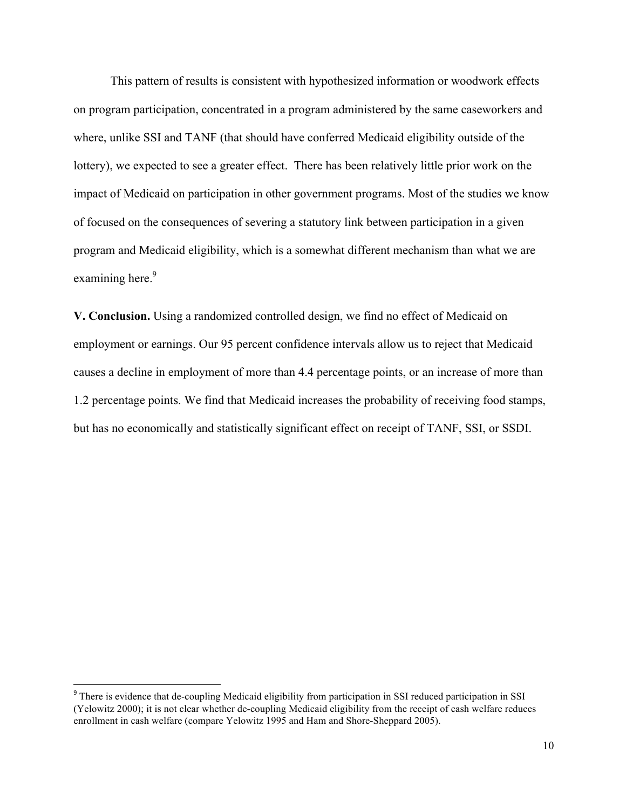This pattern of results is consistent with hypothesized information or woodwork effects on program participation, concentrated in a program administered by the same caseworkers and where, unlike SSI and TANF (that should have conferred Medicaid eligibility outside of the lottery), we expected to see a greater effect. There has been relatively little prior work on the impact of Medicaid on participation in other government programs. Most of the studies we know of focused on the consequences of severing a statutory link between participation in a given program and Medicaid eligibility, which is a somewhat different mechanism than what we are examining here.<sup>9</sup>

**V. Conclusion.** Using a randomized controlled design, we find no effect of Medicaid on employment or earnings. Our 95 percent confidence intervals allow us to reject that Medicaid causes a decline in employment of more than 4.4 percentage points, or an increase of more than 1.2 percentage points. We find that Medicaid increases the probability of receiving food stamps, but has no economically and statistically significant effect on receipt of TANF, SSI, or SSDI.

<sup>&</sup>lt;sup>9</sup> There is evidence that de-coupling Medicaid eligibility from participation in SSI reduced participation in SSI (Yelowitz 2000); it is not clear whether de-coupling Medicaid eligibility from the receipt of cash welfare reduces enrollment in cash welfare (compare Yelowitz 1995 and Ham and Shore-Sheppard 2005).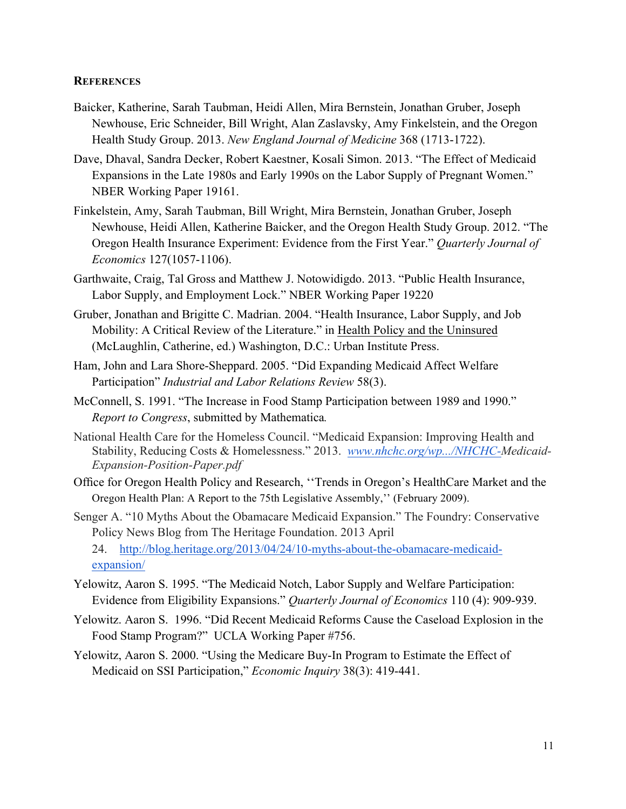## **REFERENCES**

- Baicker, Katherine, Sarah Taubman, Heidi Allen, Mira Bernstein, Jonathan Gruber, Joseph Newhouse, Eric Schneider, Bill Wright, Alan Zaslavsky, Amy Finkelstein, and the Oregon Health Study Group. 2013. *New England Journal of Medicine* 368 (1713-1722).
- Dave, Dhaval, Sandra Decker, Robert Kaestner, Kosali Simon. 2013. "The Effect of Medicaid Expansions in the Late 1980s and Early 1990s on the Labor Supply of Pregnant Women." NBER Working Paper 19161.
- Finkelstein, Amy, Sarah Taubman, Bill Wright, Mira Bernstein, Jonathan Gruber, Joseph Newhouse, Heidi Allen, Katherine Baicker, and the Oregon Health Study Group. 2012. "The Oregon Health Insurance Experiment: Evidence from the First Year." *Quarterly Journal of Economics* 127(1057-1106).
- Garthwaite, Craig, Tal Gross and Matthew J. Notowidigdo. 2013. "Public Health Insurance, Labor Supply, and Employment Lock." NBER Working Paper 19220
- Gruber, Jonathan and Brigitte C. Madrian. 2004. "Health Insurance, Labor Supply, and Job Mobility: A Critical Review of the Literature." in Health Policy and the Uninsured (McLaughlin, Catherine, ed.) Washington, D.C.: Urban Institute Press.
- Ham, John and Lara Shore-Sheppard. 2005. "Did Expanding Medicaid Affect Welfare Participation" *Industrial and Labor Relations Review* 58(3).
- McConnell, S. 1991. "The Increase in Food Stamp Participation between 1989 and 1990." *Report to Congress*, submitted by Mathematica*.*
- National Health Care for the Homeless Council. "Medicaid Expansion: Improving Health and Stability, Reducing Costs & Homelessness." 2013. *www.nhchc.org/wp.../NHCHC-Medicaid-Expansion-Position-Paper.pdf*
- Office for Oregon Health Policy and Research, ''Trends in Oregon's HealthCare Market and the Oregon Health Plan: A Report to the 75th Legislative Assembly,'' (February 2009).

Senger A. "10 Myths About the Obamacare Medicaid Expansion." The Foundry: Conservative Policy News Blog from The Heritage Foundation. 2013 April 24. http://blog.heritage.org/2013/04/24/10-myths-about-the-obamacare-medicaidexpansion/

- Yelowitz, Aaron S. 1995. "The Medicaid Notch, Labor Supply and Welfare Participation: Evidence from Eligibility Expansions." *Quarterly Journal of Economics* 110 (4): 909-939.
- Yelowitz. Aaron S. 1996. "Did Recent Medicaid Reforms Cause the Caseload Explosion in the Food Stamp Program?" UCLA Working Paper #756.
- Yelowitz, Aaron S. 2000. "Using the Medicare Buy-In Program to Estimate the Effect of Medicaid on SSI Participation," *Economic Inquiry* 38(3): 419-441.